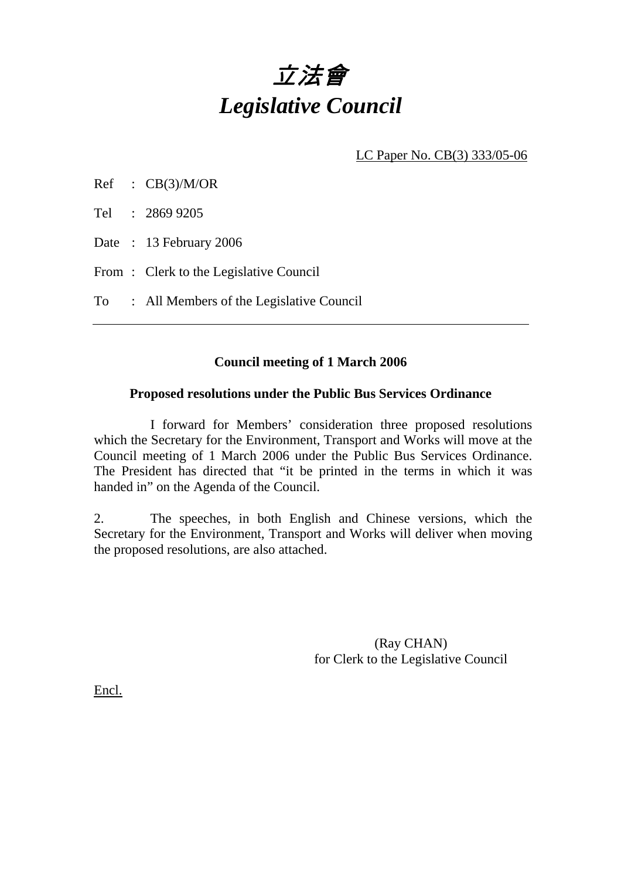# 立法會 *Legislative Council*

LC Paper No. CB(3) 333/05-06

| CB(3)/M/OR |
|------------|
|            |

Tel : 2869 9205

Date: 13 February 2006

From: Clerk to the Legislative Council

To : All Members of the Legislative Council

## **Council meeting of 1 March 2006**

### **Proposed resolutions under the Public Bus Services Ordinance**

 I forward for Members' consideration three proposed resolutions which the Secretary for the Environment, Transport and Works will move at the Council meeting of 1 March 2006 under the Public Bus Services Ordinance. The President has directed that "it be printed in the terms in which it was handed in" on the Agenda of the Council.

2. The speeches, in both English and Chinese versions, which the Secretary for the Environment, Transport and Works will deliver when moving the proposed resolutions, are also attached.

> (Ray CHAN) for Clerk to the Legislative Council

Encl.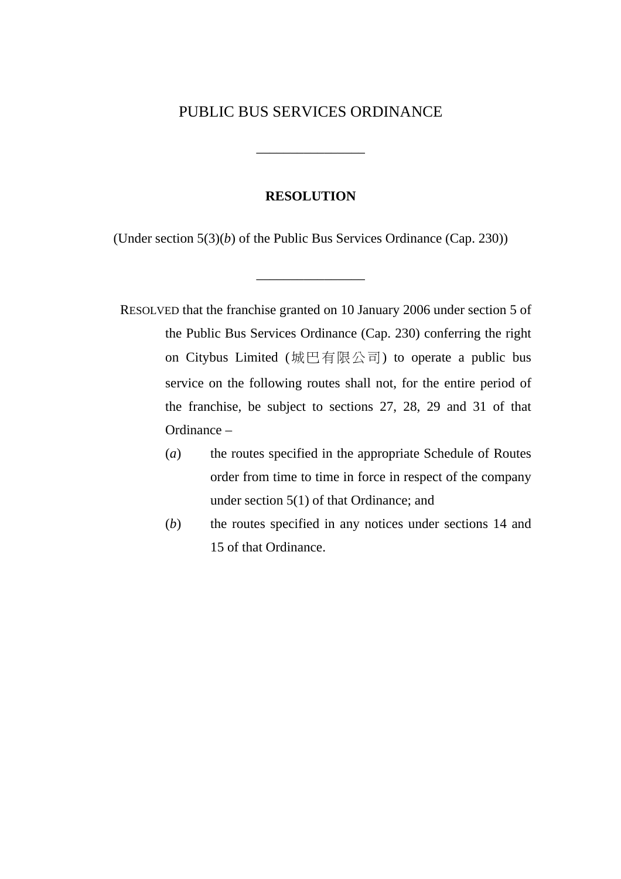## PUBLIC BUS SERVICES ORDINANCE

\_\_\_\_\_\_\_\_\_\_\_\_\_\_\_\_

#### **RESOLUTION**

(Under section 5(3)(*b*) of the Public Bus Services Ordinance (Cap. 230))

\_\_\_\_\_\_\_\_\_\_\_\_\_\_\_\_

- RESOLVED that the franchise granted on 10 January 2006 under section 5 of the Public Bus Services Ordinance (Cap. 230) conferring the right on Citybus Limited (城巴有限公司) to operate a public bus service on the following routes shall not, for the entire period of the franchise, be subject to sections 27, 28, 29 and 31 of that Ordinance –
	- (*a*) the routes specified in the appropriate Schedule of Routes order from time to time in force in respect of the company under section 5(1) of that Ordinance; and
	- (*b*) the routes specified in any notices under sections 14 and 15 of that Ordinance.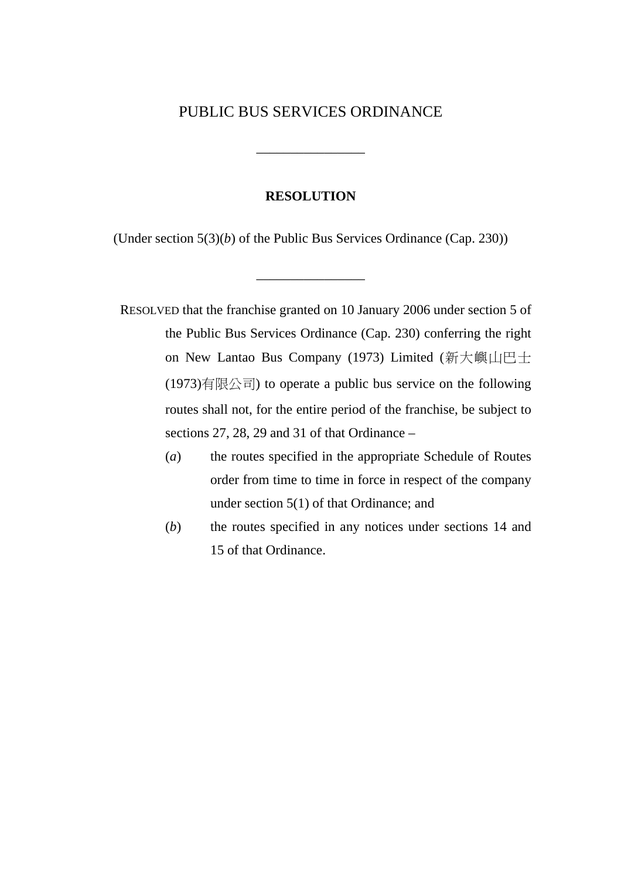## PUBLIC BUS SERVICES ORDINANCE

\_\_\_\_\_\_\_\_\_\_\_\_\_\_\_\_

#### **RESOLUTION**

(Under section 5(3)(*b*) of the Public Bus Services Ordinance (Cap. 230))

\_\_\_\_\_\_\_\_\_\_\_\_\_\_\_\_

RESOLVED that the franchise granted on 10 January 2006 under section 5 of the Public Bus Services Ordinance (Cap. 230) conferring the right on New Lantao Bus Company (1973) Limited (新大嶼山巴士  $(1973)$ 有限公司) to operate a public bus service on the following routes shall not, for the entire period of the franchise, be subject to sections 27, 28, 29 and 31 of that Ordinance –

- (*a*) the routes specified in the appropriate Schedule of Routes order from time to time in force in respect of the company under section 5(1) of that Ordinance; and
- (*b*) the routes specified in any notices under sections 14 and 15 of that Ordinance.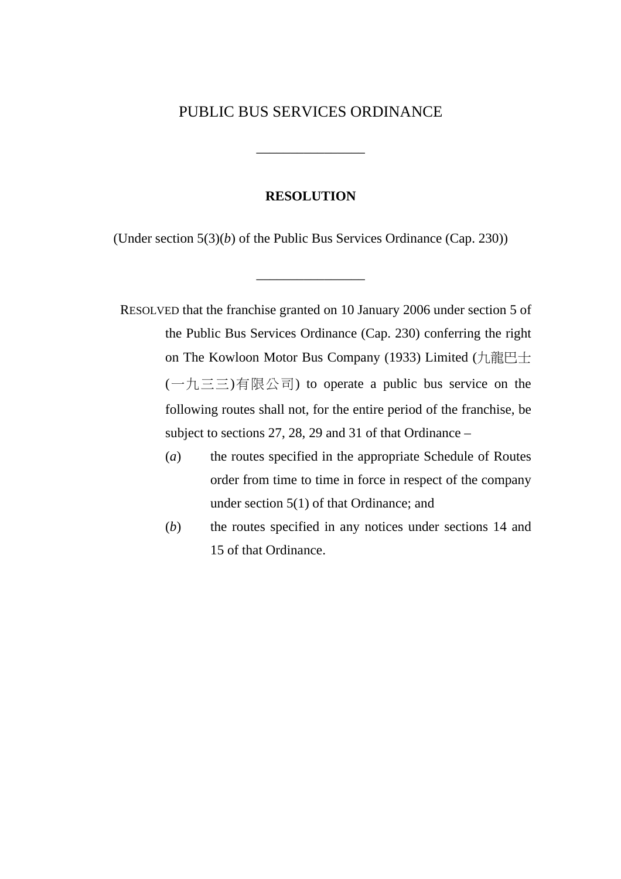## PUBLIC BUS SERVICES ORDINANCE

\_\_\_\_\_\_\_\_\_\_\_\_\_\_\_\_

#### **RESOLUTION**

(Under section 5(3)(*b*) of the Public Bus Services Ordinance (Cap. 230))

\_\_\_\_\_\_\_\_\_\_\_\_\_\_\_\_

RESOLVED that the franchise granted on 10 January 2006 under section 5 of the Public Bus Services Ordinance (Cap. 230) conferring the right on The Kowloon Motor Bus Company (1933) Limited (九龍巴士 (一九三三)有限公司) to operate a public bus service on the following routes shall not, for the entire period of the franchise, be subject to sections 27, 28, 29 and 31 of that Ordinance –

- (*a*) the routes specified in the appropriate Schedule of Routes order from time to time in force in respect of the company under section 5(1) of that Ordinance; and
- (*b*) the routes specified in any notices under sections 14 and 15 of that Ordinance.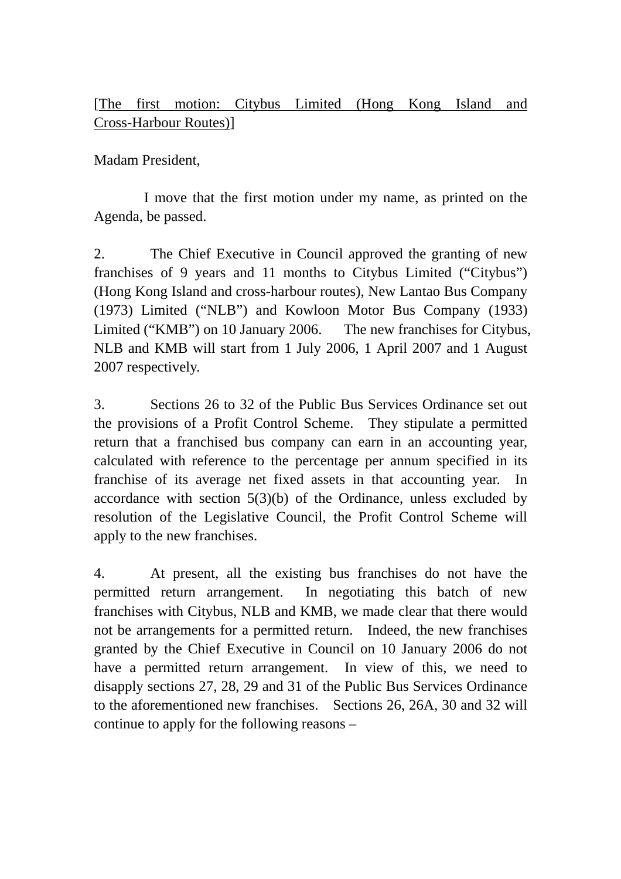## [The first motion: Citybus Limited (Hong Kong Island and Cross-Harbour Routes)]

Madam President,

 I move that the first motion under my name, as printed on the Agenda, be passed.

2. The Chief Executive in Council approved the granting of new franchises of 9 years and 11 months to Citybus Limited ("Citybus") (Hong Kong Island and cross-harbour routes), New Lantao Bus Company (1973) Limited ("NLB") and Kowloon Motor Bus Company (1933) Limited ("KMB") on 10 January 2006. The new franchises for Citybus, NLB and KMB will start from 1 July 2006, 1 April 2007 and 1 August 2007 respectively.

3. Sections 26 to 32 of the Public Bus Services Ordinance set out the provisions of a Profit Control Scheme. They stipulate a permitted return that a franchised bus company can earn in an accounting year, calculated with reference to the percentage per annum specified in its franchise of its average net fixed assets in that accounting year. In accordance with section 5(3)(b) of the Ordinance, unless excluded by resolution of the Legislative Council, the Profit Control Scheme will apply to the new franchises.

4. At present, all the existing bus franchises do not have the permitted return arrangement. In negotiating this batch of new franchises with Citybus, NLB and KMB, we made clear that there would not be arrangements for a permitted return. Indeed, the new franchises granted by the Chief Executive in Council on 10 January 2006 do not have a permitted return arrangement. In view of this, we need to disapply sections 27, 28, 29 and 31 of the Public Bus Services Ordinance to the aforementioned new franchises. Sections 26, 26A, 30 and 32 will continue to apply for the following reasons –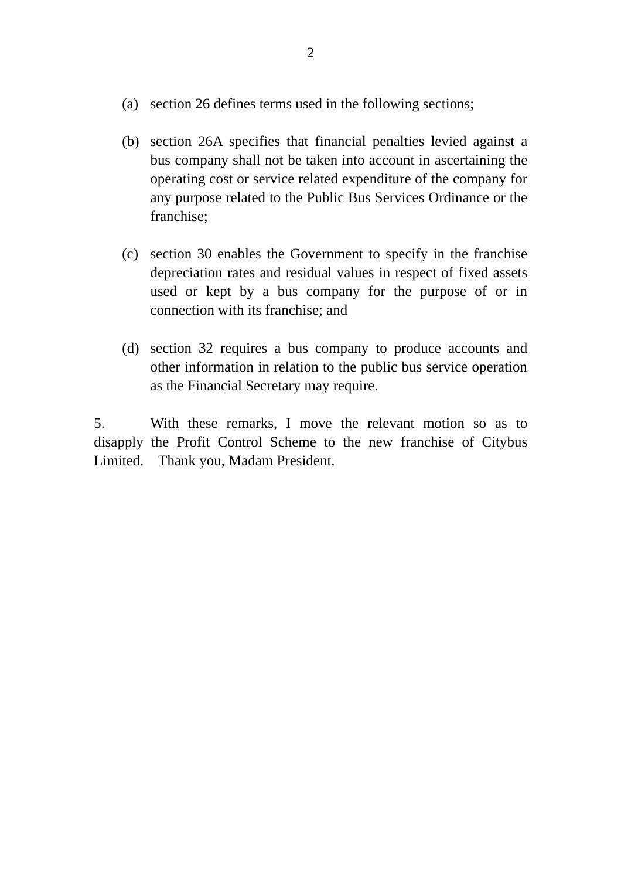- (a) section 26 defines terms used in the following sections;
- (b) section 26A specifies that financial penalties levied against a bus company shall not be taken into account in ascertaining the operating cost or service related expenditure of the company for any purpose related to the Public Bus Services Ordinance or the franchise;
- (c) section 30 enables the Government to specify in the franchise depreciation rates and residual values in respect of fixed assets used or kept by a bus company for the purpose of or in connection with its franchise; and
- (d) section 32 requires a bus company to produce accounts and other information in relation to the public bus service operation as the Financial Secretary may require.

5. With these remarks, I move the relevant motion so as to disapply the Profit Control Scheme to the new franchise of Citybus Limited. Thank you, Madam President.